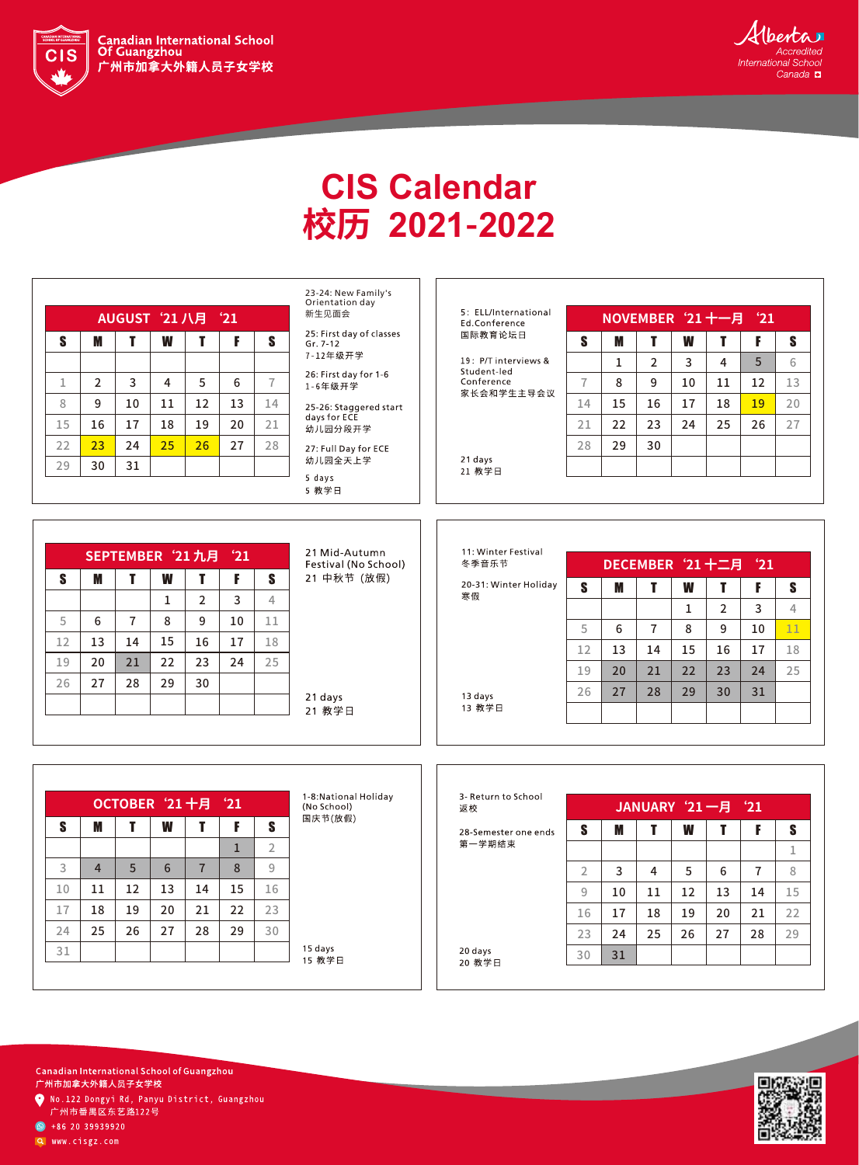

the contract of the contract of the contract of the contract of the contract of the contract of the contract of



## **CIS Calendar** 校历 2021-2022

| AUGUST '21 八月 '21 |                |    |    |    |    |    |  |  |
|-------------------|----------------|----|----|----|----|----|--|--|
| S                 | M              | T  | W  | т  | F  | S  |  |  |
|                   |                |    |    |    |    |    |  |  |
| 1                 | $\overline{2}$ | 3  | 4  | 5  | 6  |    |  |  |
| 8                 | 9              | 10 | 11 | 12 | 13 | 14 |  |  |
| 15                | 16             | 17 | 18 | 19 | 20 | 21 |  |  |
| 22                | 23             | 24 | 25 | 26 | 27 | 28 |  |  |
| 29                | 30             | 31 |    |    |    |    |  |  |

23-24: New Family's Orientation day 新生见面会

25: First day of classes  $Gr. 7-12$ 7-12年级开学

26: First day for 1-6 1-6年级开学

25-26: Staggered start<br>days for ECE 幼儿园分段开学

27: Full Day for ECE 幼儿园全天上学 5 days 5 教学日

5: ELL/International Ed.Conference 国际教育论坛日

19: P/T interviews & Student-led Conference 家长会和学生主导会议

21 days 21 教学日

|    |    | NOVEMBER '21 十一月<br>21 |    |    |    |    |  |  |
|----|----|------------------------|----|----|----|----|--|--|
| S  | M  | T                      | W  | T  | F  | S  |  |  |
|    | 1  | $\overline{2}$         | 3  | 4  | 5  | 6  |  |  |
|    | 8  | 9                      | 10 | 11 | 12 | 13 |  |  |
| 14 | 15 | 16                     | 17 | 18 | 19 | 20 |  |  |
| 21 | 22 | 23                     | 24 | 25 | 26 | 27 |  |  |
| 28 | 29 | 30                     |    |    |    |    |  |  |
|    |    |                        |    |    |    |    |  |  |

|    |    | SEPTEMBER '21九月 |    |                | $^{\circ}21$ |                | 21 Mid-Au<br>Festival (N |
|----|----|-----------------|----|----------------|--------------|----------------|--------------------------|
| S  | M  | T               | W  |                | F            | S              | 21 中秋节                   |
|    |    |                 | 1  | $\overline{2}$ | 3            | $\overline{4}$ |                          |
| 5  | 6  | 7               | 8  | 9              | 10           | 11             |                          |
| 12 | 13 | 14              | 15 | 16             | 17           | 18             |                          |
| 19 | 20 | 21              | 22 | 23             | 24           | 25             |                          |
| 26 | 27 | 28              | 29 | 30             |              |                |                          |
|    |    |                 |    |                |              |                | 21 days<br>21 教学日        |

21 Mid-Autumn Festival (No School) 21 中秋节 (放假)

11: Winter Festival 冬季音乐节

13 days

13 教学日

20-31: Winter Holiday 寒假

|    |    |    | DECEMBER '21 十二月 |                | 21 |    |
|----|----|----|------------------|----------------|----|----|
| S  | M  | T  | W                | т              | F  | S  |
|    |    |    | 1                | $\overline{2}$ | 3  | 4  |
| 5  | 6  | 7  | 8                | 9              | 10 | 11 |
| 12 | 13 | 14 | 15               | 16             | 17 | 18 |
| 19 | 20 | 21 | 22               | 23             | 24 | 25 |
| 26 | 27 | 28 | 29               | 30             | 31 |    |
|    |    |    |                  |                |    |    |

| OCTOBER '21 十月 '21 |                |    |                 |                |    |                |  |
|--------------------|----------------|----|-----------------|----------------|----|----------------|--|
| S                  | M              | T  | W               | т              | F  | S              |  |
|                    |                |    |                 |                | 1  | $\overline{2}$ |  |
| 3                  | $\overline{4}$ | 5  | $6\phantom{1}6$ | $\overline{7}$ | 8  | 9              |  |
| 10                 | 11             | 12 | 13              | 14             | 15 | 16             |  |
| 17                 | 18             | 19 | 20              | 21             | 22 | 23             |  |
| 24                 | 25             | 26 | 27              | 28             | 29 | 30             |  |
| 31                 |                |    |                 |                |    |                |  |

1-8:National Holiday (No School) 国庆节(放假)

15 days 15 教学日

| 3- Return to School<br>返校 |                |    | JANUARY '21 一月 |    |    | $^{\circ}21$ |    |
|---------------------------|----------------|----|----------------|----|----|--------------|----|
| 28-Semester one ends      | S              | M  | Т              | W  | Т  | F            | S  |
| 第一学期结束                    |                |    |                |    |    |              | 1  |
|                           | $\overline{2}$ | 3  | 4              | 5  | 6  | 7            | 8  |
|                           | 9              | 10 | 11             | 12 | 13 | 14           | 15 |
|                           | 16             | 17 | 18             | 19 | 20 | 21           | 22 |
|                           | 23             | 24 | 25             | 26 | 27 | 28           | 29 |
| 20 days<br>20 教学日         | 30             | 31 |                |    |    |              |    |



Canadian International School of Guangzhou 广州市加拿大外籍人员子女学校 ● No.122 Dongyi Rd, Panyu District, Guangzhou

广州市番禺区东艺路122号

 $\bullet$  +86 20 39939920

Q www.cisgz.com